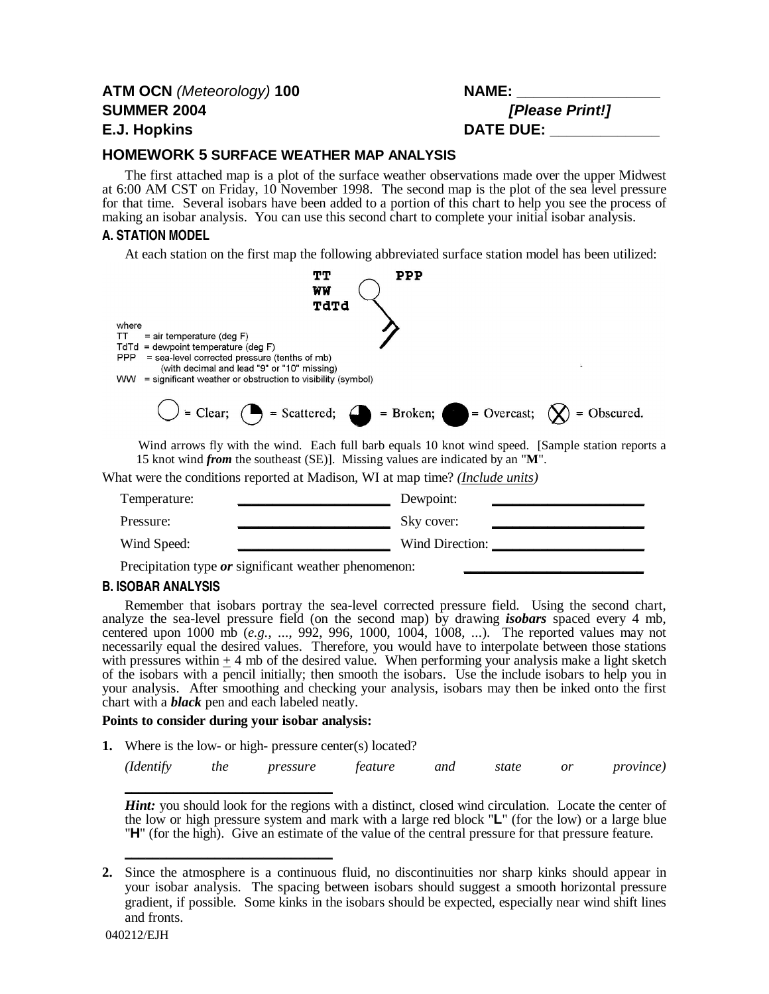# **ATM OCN** (Meteorology) **100 NAME: \_\_\_\_\_\_\_\_\_\_\_\_\_\_\_\_\_ SUMMER 2004 [Please Print!] E.J. Hopkins DATE DUE: \_\_\_\_\_\_\_\_\_\_\_\_\_**

## **HOMEWORK 5 SURFACE WEATHER MAP ANALYSIS**

The first attached map is a plot of the surface weather observations made over the upper Midwest at 6:00 AM CST on Friday, 10 November 1998. The second map is the plot of the sea level pressure for that time. Several isobars have been added to a portion of this chart to help you see the process of making an isobar analysis. You can use this second chart to complete your initial isobar analysis.

#### **A. STATION MODEL**

At each station on the first map the following abbreviated surface station model has been utilized:

|                                                                                                                                                                                                                    | ፐፓ                                          | PPP                                                                                                                                                                                        |  |
|--------------------------------------------------------------------------------------------------------------------------------------------------------------------------------------------------------------------|---------------------------------------------|--------------------------------------------------------------------------------------------------------------------------------------------------------------------------------------------|--|
|                                                                                                                                                                                                                    | WW<br>TdTd                                  |                                                                                                                                                                                            |  |
| where<br>$=$ air temperature (deg $F$ )<br>TТ<br>$TdTd =$ dewpoint temperature (deg F)<br>= sea-level corrected pressure (tenths of mb)<br>PPP<br>$WW =$ significant weather or obstruction to visibility (symbol) | (with decimal and lead "9" or "10" missing) |                                                                                                                                                                                            |  |
|                                                                                                                                                                                                                    |                                             | $\bigcup$ = Clear; $\bigcirc$ = Scattered; $\bigcirc$ = Broken; $\bigcirc$ = Overcast; $\bigcirc$ = Obscured.                                                                              |  |
|                                                                                                                                                                                                                    |                                             | Wind arrows fly with the wind. Each full barb equals 10 knot wind speed. [Sample station reports a<br>15 knot wind <i>from</i> the southeast (SE). Missing values are indicated by an "M". |  |
|                                                                                                                                                                                                                    |                                             | What were the conditions reported at Madison, WI at map time? <i>(Include units)</i>                                                                                                       |  |
| Tamparatura:                                                                                                                                                                                                       |                                             | $\Gamma$ aunoint                                                                                                                                                                           |  |

| Temperature: | Dewpoint:       |
|--------------|-----------------|
| Pressure:    | Sky cover:      |
| Wind Speed:  | Wind Direction: |

Precipitation type *or* significant weather phenomenon:

#### **B. ISOBAR ANALYSIS**

Remember that isobars portray the sea-level corrected pressure field. Using the second chart, analyze the sea-level pressure field (on the second map) by drawing *isobars* spaced every 4 mb, centered upon 1000 mb (*e.g.*, ..., 992, 996, 1000, 1004, 1008, ...). The reported values may not necessarily equal the desired values. Therefore, you would have to interpolate between those stations with pressures within  $\pm$  4 mb of the desired value. When performing your analysis make a light sketch of the isobars with a pencil initially; then smooth the isobars. Use the include isobars to help you in your analysis. After smoothing and checking your analysis, isobars may then be inked onto the first chart with a *black* pen and each labeled neatly.

#### **Points to consider during your isobar analysis:**

**\_\_\_\_\_\_\_\_\_\_\_\_\_\_\_\_\_\_\_\_\_\_\_\_\_\_\_\_\_\_**

**\_\_\_\_\_\_\_\_\_\_\_\_\_\_\_\_\_\_\_\_\_\_\_\_\_\_\_\_\_\_**

**1.** Where is the low- or high- pressure center(s) located?

|  |  | (Identify the pressure feature and state or province) |  |  |  |  |  |
|--|--|-------------------------------------------------------|--|--|--|--|--|
|--|--|-------------------------------------------------------|--|--|--|--|--|

*Hint:* you should look for the regions with a distinct, closed wind circulation. Locate the center of the low or high pressure system and mark with a large red block "**L**" (for the low) or a large blue "**H**" (for the high). Give an estimate of the value of the central pressure for that pressure feature.

**<sup>2.</sup>** Since the atmosphere is a continuous fluid, no discontinuities nor sharp kinks should appear in your isobar analysis. The spacing between isobars should suggest a smooth horizontal pressure gradient, if possible. Some kinks in the isobars should be expected, especially near wind shift lines and fronts.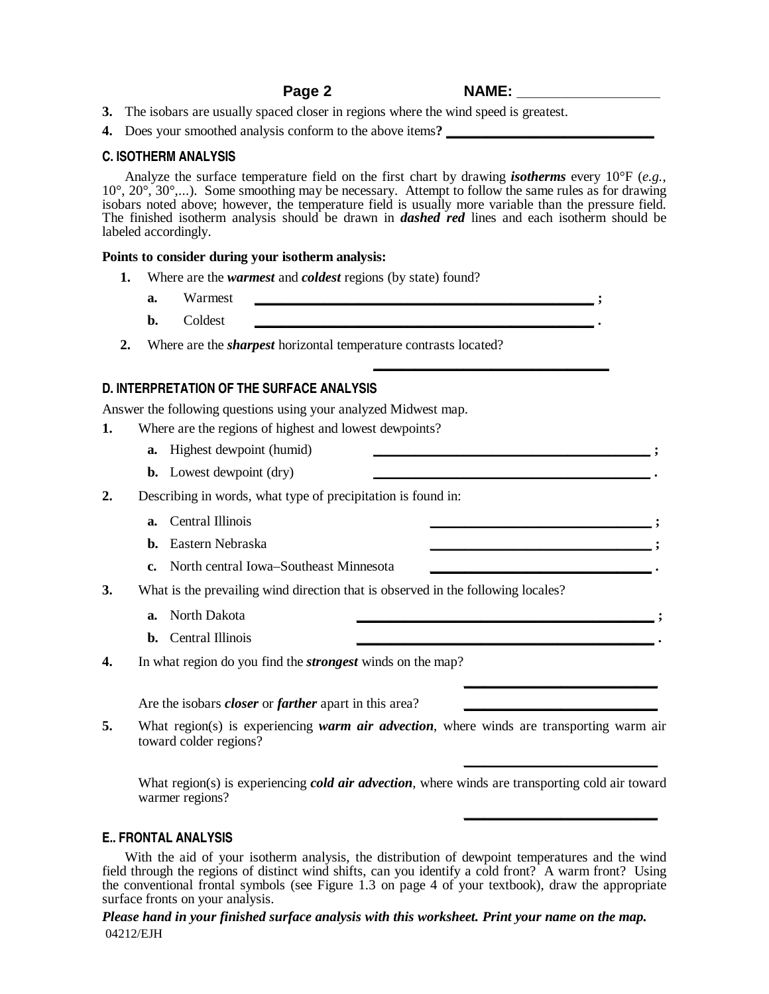**\_\_\_\_\_\_\_\_\_\_\_\_\_\_\_\_\_\_\_\_\_\_\_\_\_\_\_\_\_\_\_\_\_\_**

**\_\_\_\_\_\_\_\_\_\_\_\_\_\_\_\_\_\_\_\_\_\_\_\_\_\_\_\_**

**\_\_\_\_\_\_\_\_\_\_\_\_\_\_\_\_\_\_\_\_\_\_\_\_\_\_\_\_**

**\_\_\_\_\_\_\_\_\_\_\_\_\_\_\_\_\_\_\_\_\_\_\_\_\_\_\_\_**

- **3.** The isobars are usually spaced closer in regions where the wind speed is greatest.
- **4.** Does your smoothed analysis conform to the above items**? \_\_\_\_\_\_\_\_\_\_\_\_\_\_\_\_\_\_\_\_\_\_\_\_\_\_\_\_\_\_**

#### **C. ISOTHERM ANALYSIS**

Analyze the surface temperature field on the first chart by drawing *isotherms* every 10°F (*e.g.*, 10°, 20°, 30°,...). Some smoothing may be necessary. Attempt to follow the same rules as for drawing isobars noted above; however, the temperature field is usually more variable than the pressure field. The finished isotherm analysis should be drawn in *dashed red* lines and each isotherm should be labeled accordingly.

#### **Points to consider during your isotherm analysis:**

- **1.** Where are the *warmest* and *coldest* regions (by state) found?
	- **a.** Warmest **\_\_\_\_\_\_\_\_\_\_\_\_\_\_\_\_\_\_\_\_\_\_\_\_\_\_\_\_\_\_\_\_\_\_\_\_\_\_\_\_\_\_\_\_\_\_\_\_\_ ;**
	- **b.** Coldest **\_\_\_\_\_\_\_\_\_\_\_\_\_\_\_\_\_\_\_\_\_\_\_\_\_\_\_\_\_\_\_\_\_\_\_\_\_\_\_\_\_\_\_\_\_\_\_\_\_ .**
- **2.** Where are the *sharpest* horizontal temperature contrasts located?

### **D. INTERPRETATION OF THE SURFACE ANALYSIS**

Answer the following questions using your analyzed Midwest map.

- **1.** Where are the regions of highest and lowest dewpoints?
	- **a.** Highest dewpoint (humid) **\_\_\_\_\_\_\_\_\_\_\_\_\_\_\_\_\_\_\_\_\_\_\_\_\_\_\_\_\_\_\_\_\_\_\_\_\_\_\_\_ ;**
	- **b.** Lowest dewpoint (dry)
- **2.** Describing in words, what type of precipitation is found in:
	- **a.** Central Illinois **\_\_\_\_\_\_\_\_\_\_\_\_\_\_\_\_\_\_\_\_\_\_\_\_\_\_\_\_\_\_\_\_ ;**
	- **b.** Eastern Nebraska **\_\_\_\_\_\_\_\_\_\_\_\_\_\_\_\_\_\_\_\_\_\_\_\_\_\_\_\_\_\_\_\_ ;**
	- **c.** North central Iowa–Southeast Minnesota **\_\_\_\_\_\_\_\_\_\_\_\_\_\_\_\_\_\_\_\_\_\_\_\_\_\_\_\_\_\_\_\_ .**
- **3.** What is the prevailing wind direction that is observed in the following locales?
	- **a.** North Dakota **\_\_\_\_\_\_\_\_\_\_\_\_\_\_\_\_\_\_\_\_\_\_\_\_\_\_\_\_\_\_\_\_\_\_\_\_\_\_\_\_\_\_\_ ;**
	- **b.** Central Illinois **\_\_\_\_\_\_\_\_\_\_\_\_\_\_\_\_\_\_\_\_\_\_\_\_\_\_\_\_\_\_\_\_\_\_\_\_\_\_\_\_\_\_\_ .**
- **4.** In what region do you find the *strongest* winds on the map?

Are the isobars *closer* or *farther* apart in this area?

**5.** What region(s) is experiencing *warm air advection*, where winds are transporting warm air toward colder regions?

What region(s) is experiencing *cold air advection*, where winds are transporting cold air toward warmer regions?

#### **E.. FRONTAL ANALYSIS**

With the aid of your isotherm analysis, the distribution of dewpoint temperatures and the wind field through the regions of distinct wind shifts, can you identify a cold front? A warm front? Using the conventional frontal symbols (see Figure 1.3 on page 4 of your textbook), draw the appropriate surface fronts on your analysis.

*Please hand in your finished surface analysis with this worksheet. Print your name on the map.* 04212/EJH